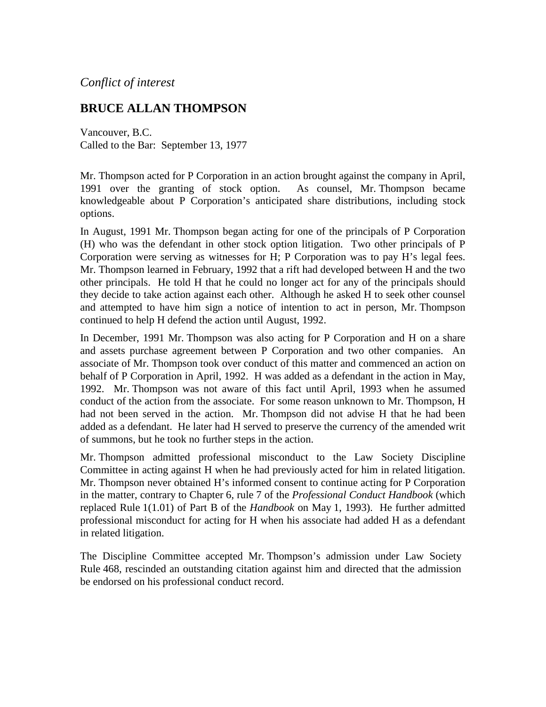## *Conflict of interest*

## **BRUCE ALLAN THOMPSON**

Vancouver, B.C. Called to the Bar: September 13, 1977

Mr. Thompson acted for P Corporation in an action brought against the company in April, 1991 over the granting of stock option. As counsel, Mr. Thompson became knowledgeable about P Corporation's anticipated share distributions, including stock options.

In August, 1991 Mr. Thompson began acting for one of the principals of P Corporation (H) who was the defendant in other stock option litigation. Two other principals of P Corporation were serving as witnesses for H; P Corporation was to pay H's legal fees. Mr. Thompson learned in February, 1992 that a rift had developed between H and the two other principals. He told H that he could no longer act for any of the principals should they decide to take action against each other. Although he asked H to seek other counsel and attempted to have him sign a notice of intention to act in person, Mr. Thompson continued to help H defend the action until August, 1992.

In December, 1991 Mr. Thompson was also acting for P Corporation and H on a share and assets purchase agreement between P Corporation and two other companies. An associate of Mr. Thompson took over conduct of this matter and commenced an action on behalf of P Corporation in April, 1992. H was added as a defendant in the action in May, 1992. Mr. Thompson was not aware of this fact until April, 1993 when he assumed conduct of the action from the associate. For some reason unknown to Mr. Thompson, H had not been served in the action. Mr. Thompson did not advise H that he had been added as a defendant. He later had H served to preserve the currency of the amended writ of summons, but he took no further steps in the action.

Mr. Thompson admitted professional misconduct to the Law Society Discipline Committee in acting against H when he had previously acted for him in related litigation. Mr. Thompson never obtained H's informed consent to continue acting for P Corporation in the matter, contrary to Chapter 6, rule 7 of the *Professional Conduct Handbook* (which replaced Rule 1(1.01) of Part B of the *Handbook* on May 1, 1993). He further admitted professional misconduct for acting for H when his associate had added H as a defendant in related litigation.

The Discipline Committee accepted Mr. Thompson's admission under Law Society Rule 468, rescinded an outstanding citation against him and directed that the admission be endorsed on his professional conduct record.